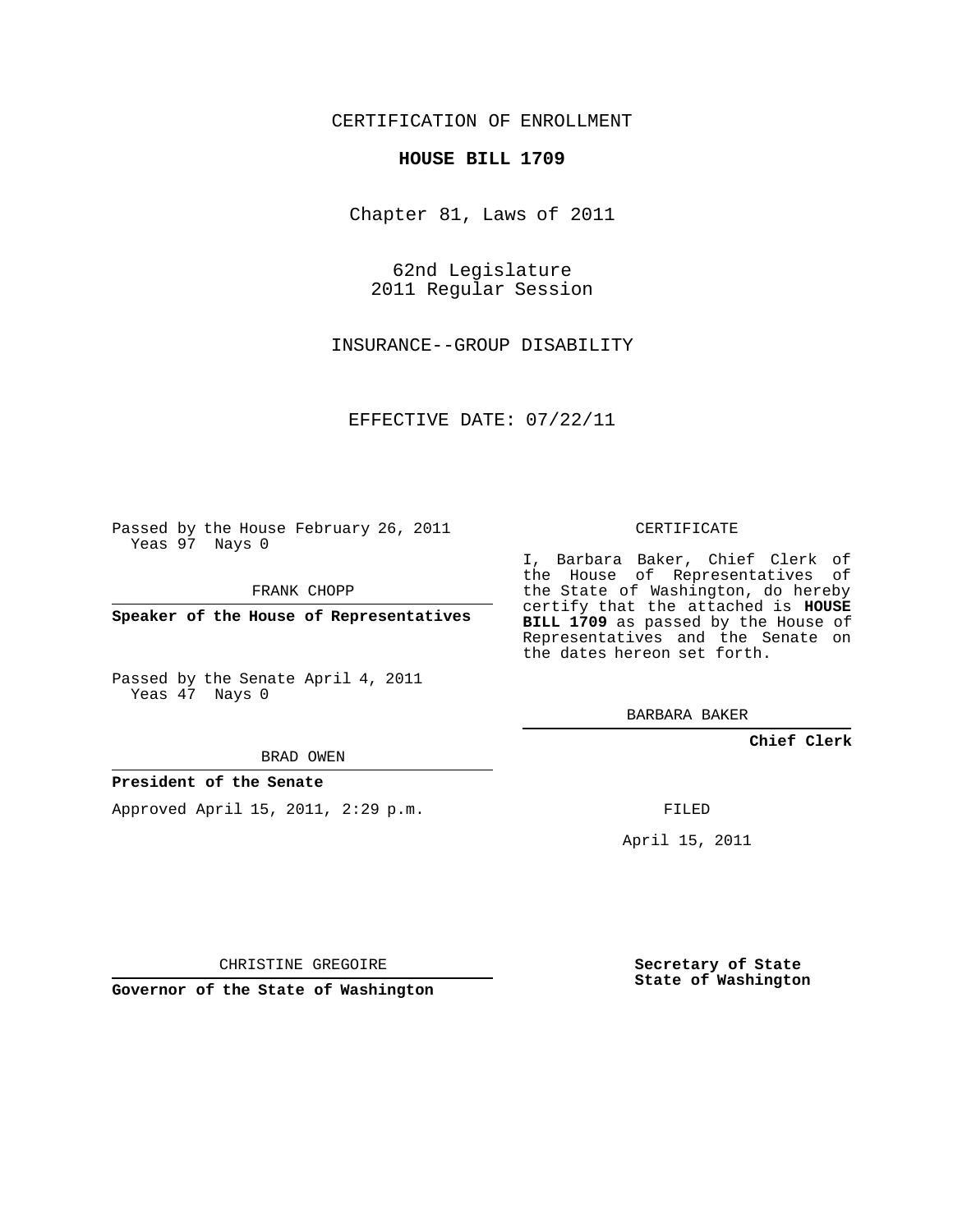### CERTIFICATION OF ENROLLMENT

#### **HOUSE BILL 1709**

Chapter 81, Laws of 2011

62nd Legislature 2011 Regular Session

INSURANCE--GROUP DISABILITY

EFFECTIVE DATE: 07/22/11

Passed by the House February 26, 2011 Yeas 97 Nays 0

FRANK CHOPP

**Speaker of the House of Representatives**

Passed by the Senate April 4, 2011 Yeas 47 Nays 0

#### BRAD OWEN

#### **President of the Senate**

Approved April 15, 2011, 2:29 p.m.

CERTIFICATE

I, Barbara Baker, Chief Clerk of the House of Representatives of the State of Washington, do hereby certify that the attached is **HOUSE BILL 1709** as passed by the House of Representatives and the Senate on the dates hereon set forth.

BARBARA BAKER

**Chief Clerk**

FILED

April 15, 2011

CHRISTINE GREGOIRE

**Governor of the State of Washington**

**Secretary of State State of Washington**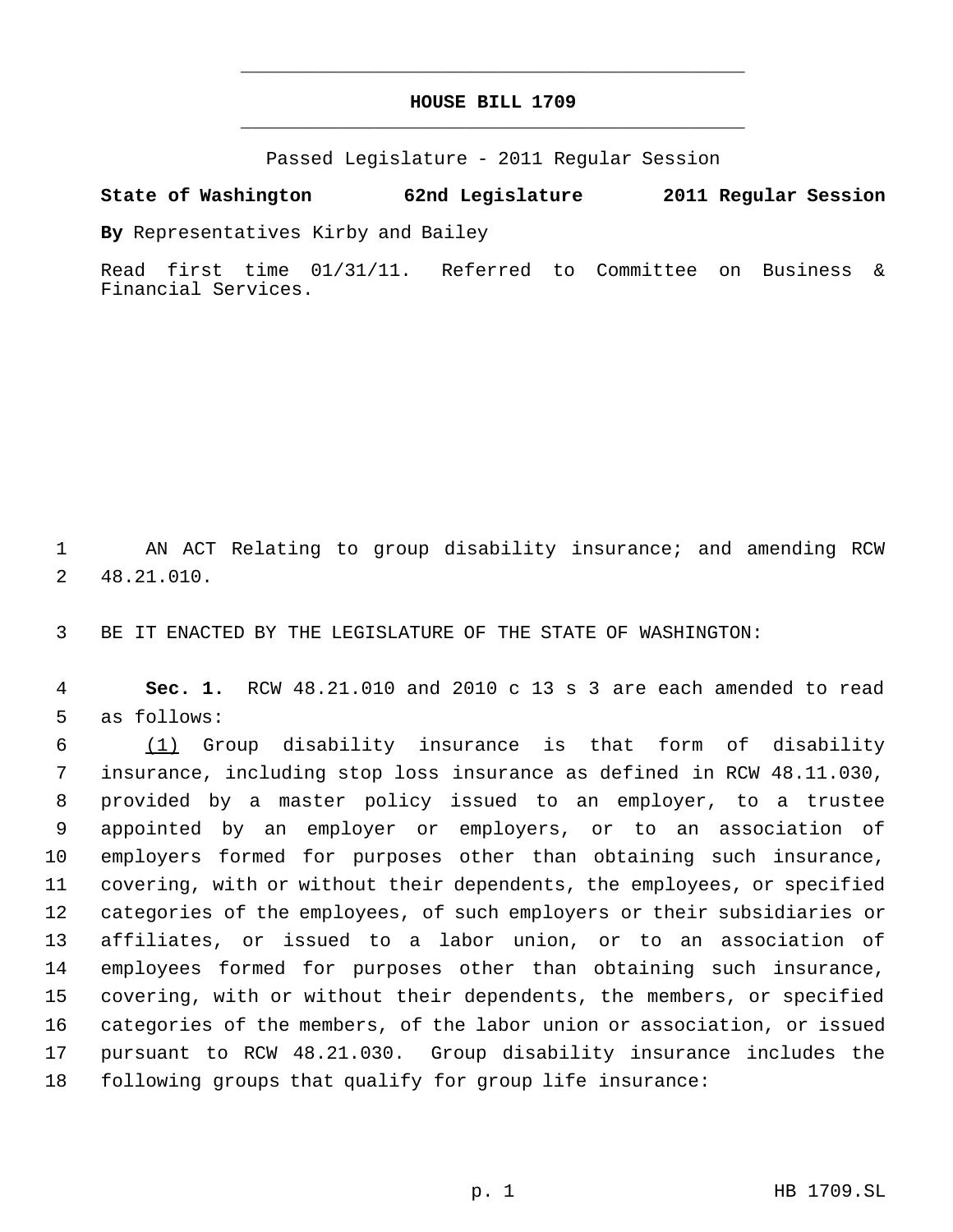# **HOUSE BILL 1709** \_\_\_\_\_\_\_\_\_\_\_\_\_\_\_\_\_\_\_\_\_\_\_\_\_\_\_\_\_\_\_\_\_\_\_\_\_\_\_\_\_\_\_\_\_

\_\_\_\_\_\_\_\_\_\_\_\_\_\_\_\_\_\_\_\_\_\_\_\_\_\_\_\_\_\_\_\_\_\_\_\_\_\_\_\_\_\_\_\_\_

Passed Legislature - 2011 Regular Session

## **State of Washington 62nd Legislature 2011 Regular Session**

**By** Representatives Kirby and Bailey

Read first time 01/31/11. Referred to Committee on Business & Financial Services.

 AN ACT Relating to group disability insurance; and amending RCW 48.21.010.

BE IT ENACTED BY THE LEGISLATURE OF THE STATE OF WASHINGTON:

 **Sec. 1.** RCW 48.21.010 and 2010 c 13 s 3 are each amended to read as follows:

 (1) Group disability insurance is that form of disability insurance, including stop loss insurance as defined in RCW 48.11.030, provided by a master policy issued to an employer, to a trustee appointed by an employer or employers, or to an association of employers formed for purposes other than obtaining such insurance, covering, with or without their dependents, the employees, or specified categories of the employees, of such employers or their subsidiaries or affiliates, or issued to a labor union, or to an association of employees formed for purposes other than obtaining such insurance, covering, with or without their dependents, the members, or specified categories of the members, of the labor union or association, or issued pursuant to RCW 48.21.030. Group disability insurance includes the following groups that qualify for group life insurance: